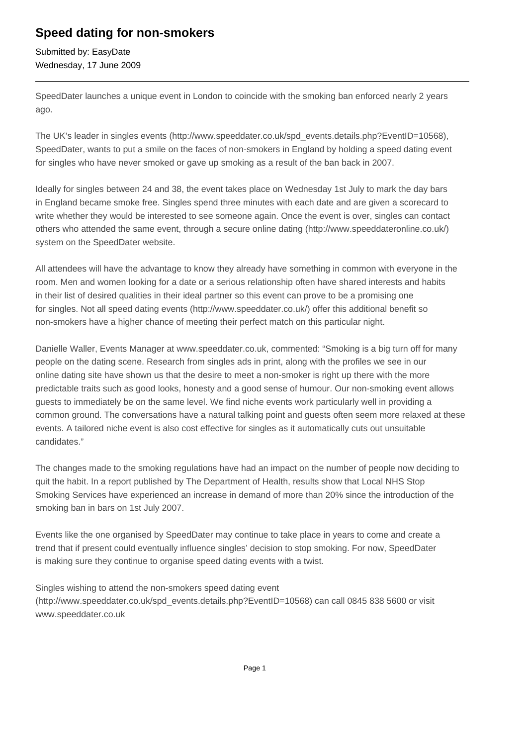## **Speed dating for non-smokers**

Submitted by: EasyDate Wednesday, 17 June 2009

SpeedDater launches a unique event in London to coincide with the smoking ban enforced nearly 2 years ago.

The UK's leader in singles events (http://www.speeddater.co.uk/spd\_events.details.php?EventID=10568), SpeedDater, wants to put a smile on the faces of non-smokers in England by holding a speed dating event for singles who have never smoked or gave up smoking as a result of the ban back in 2007.

Ideally for singles between 24 and 38, the event takes place on Wednesday 1st July to mark the day bars in England became smoke free. Singles spend three minutes with each date and are given a scorecard to write whether they would be interested to see someone again. Once the event is over, singles can contact others who attended the same event, through a secure online dating (http://www.speeddateronline.co.uk/) system on the SpeedDater website.

All attendees will have the advantage to know they already have something in common with everyone in the room. Men and women looking for a date or a serious relationship often have shared interests and habits in their list of desired qualities in their ideal partner so this event can prove to be a promising one for singles. Not all speed dating events (http://www.speeddater.co.uk/) offer this additional benefit so non-smokers have a higher chance of meeting their perfect match on this particular night.

Danielle Waller, Events Manager at www.speeddater.co.uk, commented: "Smoking is a big turn off for many people on the dating scene. Research from singles ads in print, along with the profiles we see in our online dating site have shown us that the desire to meet a non-smoker is right up there with the more predictable traits such as good looks, honesty and a good sense of humour. Our non-smoking event allows guests to immediately be on the same level. We find niche events work particularly well in providing a common ground. The conversations have a natural talking point and guests often seem more relaxed at these events. A tailored niche event is also cost effective for singles as it automatically cuts out unsuitable candidates."

The changes made to the smoking regulations have had an impact on the number of people now deciding to quit the habit. In a report published by The Department of Health, results show that Local NHS Stop Smoking Services have experienced an increase in demand of more than 20% since the introduction of the smoking ban in bars on 1st July 2007.

Events like the one organised by SpeedDater may continue to take place in years to come and create a trend that if present could eventually influence singles' decision to stop smoking. For now, SpeedDater is making sure they continue to organise speed dating events with a twist.

Singles wishing to attend the non-smokers speed dating event (http://www.speeddater.co.uk/spd\_events.details.php?EventID=10568) can call 0845 838 5600 or visit www.speeddater.co.uk